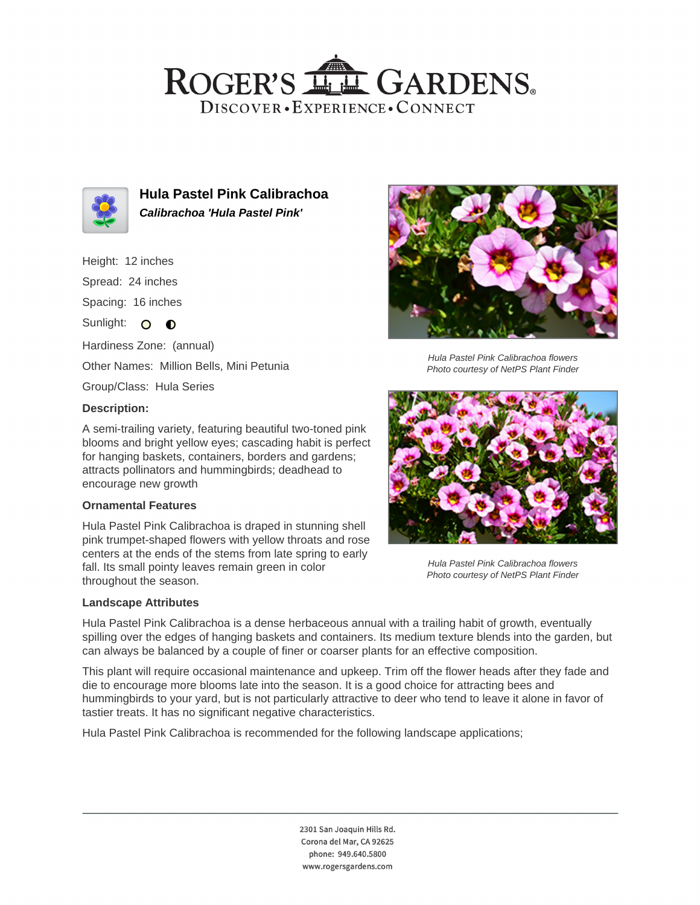## ROGER'S LL GARDENS. DISCOVER · EXPERIENCE · CONNECT



**Hula Pastel Pink Calibrachoa Calibrachoa 'Hula Pastel Pink'**

- Height: 12 inches
- Spread: 24 inches

Spacing: 16 inches

Sunlight: O O

Hardiness Zone: (annual)

Other Names: Million Bells, Mini Petunia

Group/Class: Hula Series

### **Description:**

A semi-trailing variety, featuring beautiful two-toned pink blooms and bright yellow eyes; cascading habit is perfect for hanging baskets, containers, borders and gardens; attracts pollinators and hummingbirds; deadhead to encourage new growth

### **Ornamental Features**

Hula Pastel Pink Calibrachoa is draped in stunning shell pink trumpet-shaped flowers with yellow throats and rose centers at the ends of the stems from late spring to early fall. Its small pointy leaves remain green in color throughout the season.

### **Landscape Attributes**



Hula Pastel Pink Calibrachoa flowers Photo courtesy of NetPS Plant Finder



Hula Pastel Pink Calibrachoa flowers Photo courtesy of NetPS Plant Finder

Hula Pastel Pink Calibrachoa is a dense herbaceous annual with a trailing habit of growth, eventually spilling over the edges of hanging baskets and containers. Its medium texture blends into the garden, but can always be balanced by a couple of finer or coarser plants for an effective composition.

This plant will require occasional maintenance and upkeep. Trim off the flower heads after they fade and die to encourage more blooms late into the season. It is a good choice for attracting bees and hummingbirds to your yard, but is not particularly attractive to deer who tend to leave it alone in favor of tastier treats. It has no significant negative characteristics.

Hula Pastel Pink Calibrachoa is recommended for the following landscape applications;

2301 San Joaquin Hills Rd. Corona del Mar, CA 92625 phone: 949.640.5800 www.rogersgardens.com